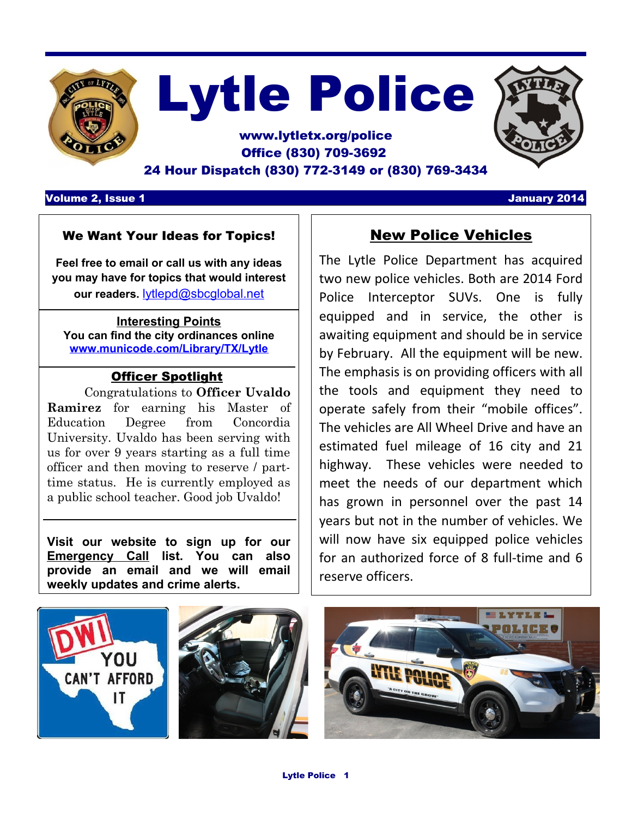

# Lytle Police

### www.lytletx.org/police Office (830) 709-3692 24 Hour Dispatch (830) 772-3149 or (830) 769-3434

Volume 2, Issue 1 January 2014

#### We Want Your Ideas for Topics!

**Feel free to email or call us with any ideas you may have for topics that would interest our readers.** [lytlepd@sbcglobal.net](mailto:lytlepd@sbcglobal.net)

#### **Interesting Points You can find the city ordinances online [www.municode.com/Library/TX/Lytle](http://www.municode.com/Library/TX/Lytle)**

#### Officer Spotlight

Congratulations to **Officer Uvaldo Ramirez** for earning his Master of Education Degree from Concordia University. Uvaldo has been serving with us for over 9 years starting as a full time officer and then moving to reserve / parttime status. He is currently employed as a public school teacher. Good job Uvaldo!

**Visit our website to sign up for our Emergency Call list. You can also provide an email and we will email weekly updates and crime alerts.** 

## New Police Vehicles

The Lytle Police Department has acquired two new police vehicles. Both are 2014 Ford Police Interceptor SUVs. One is fully equipped and in service, the other is awaiting equipment and should be in service by February. All the equipment will be new. The emphasis is on providing officers with all the tools and equipment they need to operate safely from their "mobile offices". The vehicles are All Wheel Drive and have an estimated fuel mileage of 16 city and 21 highway. These vehicles were needed to meet the needs of our department which has grown in personnel over the past 14 years but not in the number of vehicles. We will now have six equipped police vehicles for an authorized force of 8 full-time and 6 reserve officers.